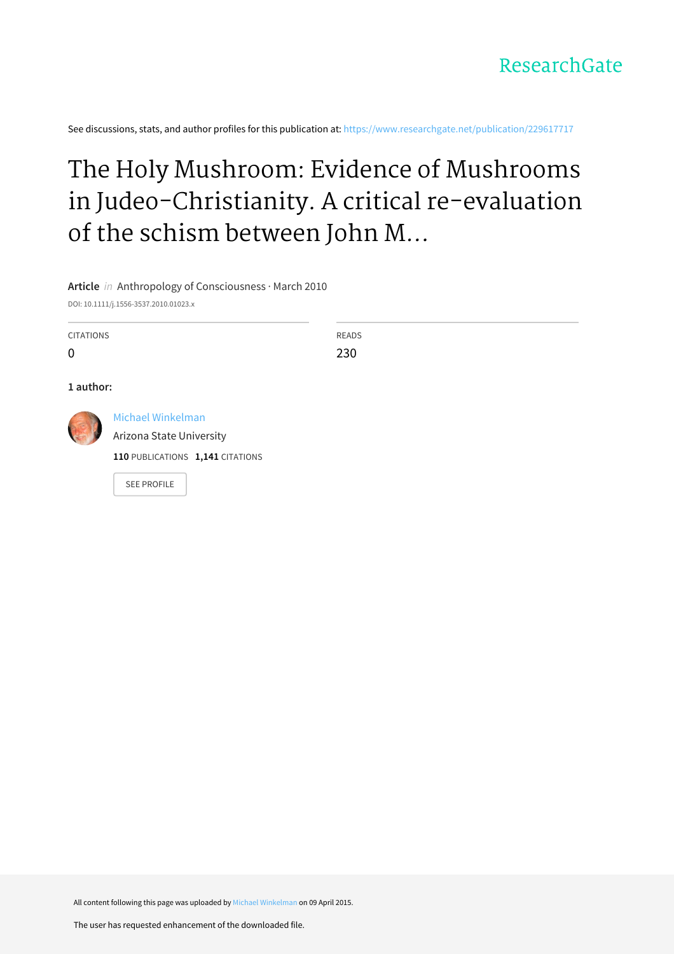See discussions, stats, and author profiles for this publication at: [https://www.researchgate.net/publication/229617717](https://www.researchgate.net/publication/229617717_The_Holy_Mushroom_Evidence_of_Mushrooms_in_Judeo-Christianity_A_critical_re-evaluation_of_the_schism_between_John_M_Allegro_and_R_Gordon_Wasson_over_the_theory_on_the_entheogenic_origins_of_Christiani?enrichId=rgreq-889d8d05c949069383718e8fbcbdc2bc-XXX&enrichSource=Y292ZXJQYWdlOzIyOTYxNzcxNztBUzoyMTYyOTUwMjgwNzI0NDhAMTQyODU4MDE2MTI3OQ%3D%3D&el=1_x_2&_esc=publicationCoverPdf)

# The Holy Mushroom: Evidence of Mushrooms in Judeo-Christianity. A critical re-evaluation of the schism between John M...

# **Article** in Anthropology of Consciousness · March 2010

DOI: 10.1111/j.1556-3537.2010.01023.x

CITATIONS

 $\Omega$ 

READS 230

## **1 author:**



Michael [Winkelman](https://www.researchgate.net/profile/Michael_Winkelman2?enrichId=rgreq-889d8d05c949069383718e8fbcbdc2bc-XXX&enrichSource=Y292ZXJQYWdlOzIyOTYxNzcxNztBUzoyMTYyOTUwMjgwNzI0NDhAMTQyODU4MDE2MTI3OQ%3D%3D&el=1_x_5&_esc=publicationCoverPdf)

Arizona State [University](https://www.researchgate.net/institution/Arizona_State_University?enrichId=rgreq-889d8d05c949069383718e8fbcbdc2bc-XXX&enrichSource=Y292ZXJQYWdlOzIyOTYxNzcxNztBUzoyMTYyOTUwMjgwNzI0NDhAMTQyODU4MDE2MTI3OQ%3D%3D&el=1_x_6&_esc=publicationCoverPdf)

**110** PUBLICATIONS **1,141** CITATIONS

SEE [PROFILE](https://www.researchgate.net/profile/Michael_Winkelman2?enrichId=rgreq-889d8d05c949069383718e8fbcbdc2bc-XXX&enrichSource=Y292ZXJQYWdlOzIyOTYxNzcxNztBUzoyMTYyOTUwMjgwNzI0NDhAMTQyODU4MDE2MTI3OQ%3D%3D&el=1_x_7&_esc=publicationCoverPdf)

All content following this page was uploaded by Michael [Winkelman](https://www.researchgate.net/profile/Michael_Winkelman2?enrichId=rgreq-889d8d05c949069383718e8fbcbdc2bc-XXX&enrichSource=Y292ZXJQYWdlOzIyOTYxNzcxNztBUzoyMTYyOTUwMjgwNzI0NDhAMTQyODU4MDE2MTI3OQ%3D%3D&el=1_x_10&_esc=publicationCoverPdf) on 09 April 2015.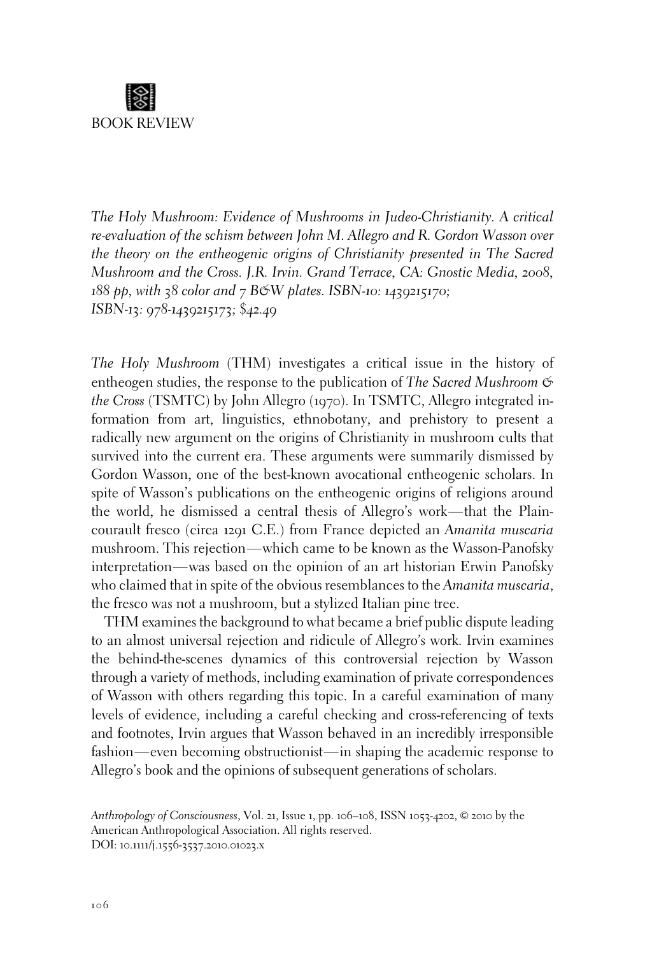

The Holy Mushroom: Evidence of Mushrooms in Judeo-Christianity. A critical re-evaluation of the schism between John M. Allegro and R. Gordon Wasson over the theory on the entheogenic origins of Christianity presented in The Sacred Mushroom and the Cross. J.R. Irvin. Grand Terrace, CA: Gnostic Media, 2008,  $188$  pp, with 38 color and 7 BGW plates. ISBN-10: 1439215170; ISBN-13: 978-1439215173; \$42.49

The Holy Mushroom (THM) investigates a critical issue in the history of entheogen studies, the response to the publication of The Sacred Mushroom  $\mathfrak{S}$ the Cross (TSMTC) by John Allegro (1970). In TSMTC, Allegro integrated information from art, linguistics, ethnobotany, and prehistory to present a radically new argument on the origins of Christianity in mushroom cults that survived into the current era. These arguments were summarily dismissed by Gordon Wasson, one of the best-known avocational entheogenic scholars. In spite of Wasson's publications on the entheogenic origins of religions around the world, he dismissed a central thesis of Allegro's work—that the Plaincourault fresco (circa 1291 C.E.) from France depicted an Amanita muscaria mushroom. This rejection—which came to be known as the Wasson-Panofsky interpretation—was based on the opinion of an art historian Erwin Panofsky who claimed that in spite of the obvious resemblances to the Amanita muscaria, the fresco was not a mushroom, but a stylized Italian pine tree.

THM examines the background to what became a brief public dispute leading to an almost universal rejection and ridicule of Allegro's work. Irvin examines the behind-the-scenes dynamics of this controversial rejection by Wasson through a variety of methods, including examination of private correspondences of Wasson with others regarding this topic. In a careful examination of many levels of evidence, including a careful checking and cross-referencing of texts and footnotes, Irvin argues that Wasson behaved in an incredibly irresponsible fashion—even becoming obstructionist—in shaping the academic response to Allegro's book and the opinions of subsequent generations of scholars.

Anthropology of Consciousness, Vol. 21, Issue 1, pp. 106-108, ISSN 1053-4202, © 2010 by the American Anthropological Association. All rights reserved. DOI: 10.1111/j.1556-3537.2010.01023.x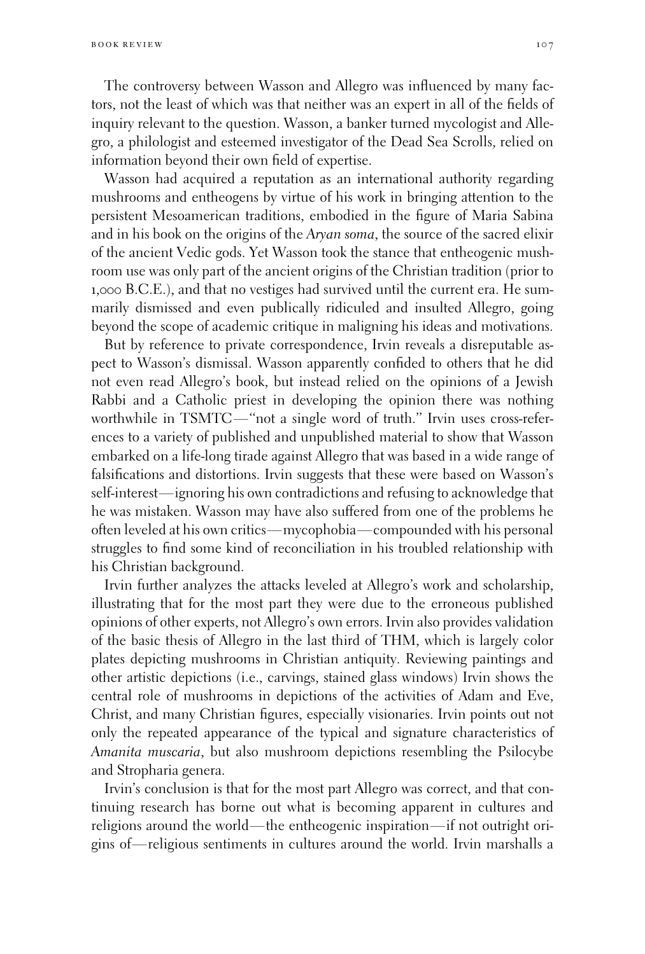The controversy between Wasson and Allegro was influenced by many factors, not the least of which was that neither was an expert in all of the fields of inquiry relevant to the question. Wasson, a banker turned mycologist and Allegro, a philologist and esteemed investigator of the Dead Sea Scrolls, relied on information beyond their own field of expertise.

Wasson had acquired a reputation as an international authority regarding mushrooms and entheogens by virtue of his work in bringing attention to the persistent Mesoamerican traditions, embodied in the figure of Maria Sabina and in his book on the origins of the Aryan soma, the source of the sacred elixir of the ancient Vedic gods. Yet Wasson took the stance that entheogenic mushroom use was only part of the ancient origins of the Christian tradition (prior to 1,000 B.C.E.), and that no vestiges had survived until the current era. He summarily dismissed and even publically ridiculed and insulted Allegro, going beyond the scope of academic critique in maligning his ideas and motivations.

But by reference to private correspondence, Irvin reveals a disreputable aspect to Wasson's dismissal. Wasson apparently confided to others that he did not even read Allegro's book, but instead relied on the opinions of a Jewish Rabbi and a Catholic priest in developing the opinion there was nothing worthwhile in TSMTC—"not a single word of truth." Irvin uses cross-references to a variety of published and unpublished material to show that Wasson embarked on a life-long tirade against Allegro that was based in a wide range of falsifications and distortions. Irvin suggests that these were based on Wasson's self-interest—ignoring his own contradictions and refusing to acknowledge that he was mistaken. Wasson may have also suffered from one of the problems he often leveled at his own critics—mycophobia—compounded with his personal struggles to find some kind of reconciliation in his troubled relationship with his Christian background.

Irvin further analyzes the attacks leveled at Allegro's work and scholarship, illustrating that for the most part they were due to the erroneous published opinions of other experts, not Allegro's own errors. Irvin also provides validation of the basic thesis of Allegro in the last third of THM, which is largely color plates depicting mushrooms in Christian antiquity. Reviewing paintings and other artistic depictions (i.e., carvings, stained glass windows) Irvin shows the central role of mushrooms in depictions of the activities of Adam and Eve, Christ, and many Christian figures, especially visionaries. Irvin points out not only the repeated appearance of the typical and signature characteristics of Amanita muscaria, but also mushroom depictions resembling the Psilocybe and Stropharia genera.

Irvin's conclusion is that for the most part Allegro was correct, and that continuing research has borne out what is becoming apparent in cultures and religions around the world—the entheogenic inspiration—if not outright origins of—religious sentiments in cultures around the world. Irvin marshalls a